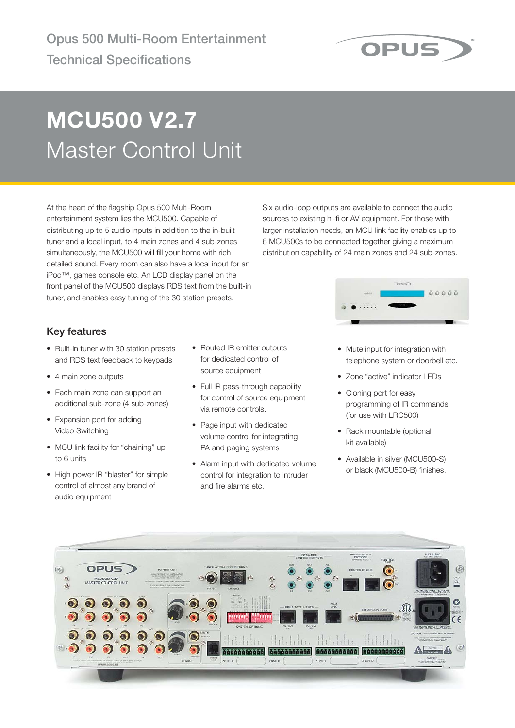

# **MCU500 V2.7** Master Control Unit

At the heart of the flagship Opus 500 Multi-Room entertainment system lies the MCU500. Capable of distributing up to 5 audio inputs in addition to the in-built tuner and a local input, to 4 main zones and 4 sub-zones simultaneously, the MCU500 will fill your home with rich detailed sound. Every room can also have a local input for an iPod™, games console etc. An LCD display panel on the front panel of the MCU500 displays RDS text from the built-in tuner, and enables easy tuning of the 30 station presets.

Six audio-loop outputs are available to connect the audio sources to existing hi-fi or AV equipment. For those with larger installation needs, an MCU link facility enables up to 6 MCU500s to be connected together giving a maximum distribution capability of 24 main zones and 24 sub-zones.



## **Key features**

- Built-in tuner with 30 station presets and RDS text feedback to keypads
- 4 main zone outputs
- Each main zone can support an additional sub-zone (4 sub-zones)
- Expansion port for adding Video Switching
- MCU link facility for "chaining" up to 6 units
- High power IR "blaster" for simple control of almost any brand of audio equipment
- Routed IR emitter outputs for dedicated control of source equipment
- Full IR pass-through capability for control of source equipment via remote controls.
- Page input with dedicated volume control for integrating PA and paging systems
- Alarm input with dedicated volume control for integration to intruder and fire alarms etc.
- Mute input for integration with telephone system or doorbell etc.
- Zone "active" indicator LEDs
- Cloning port for easy programming of IR commands (for use with LRC500)
- Rack mountable (optional kit available)
- Available in silver (MCU500-S) or black (MCU500-B) finishes.